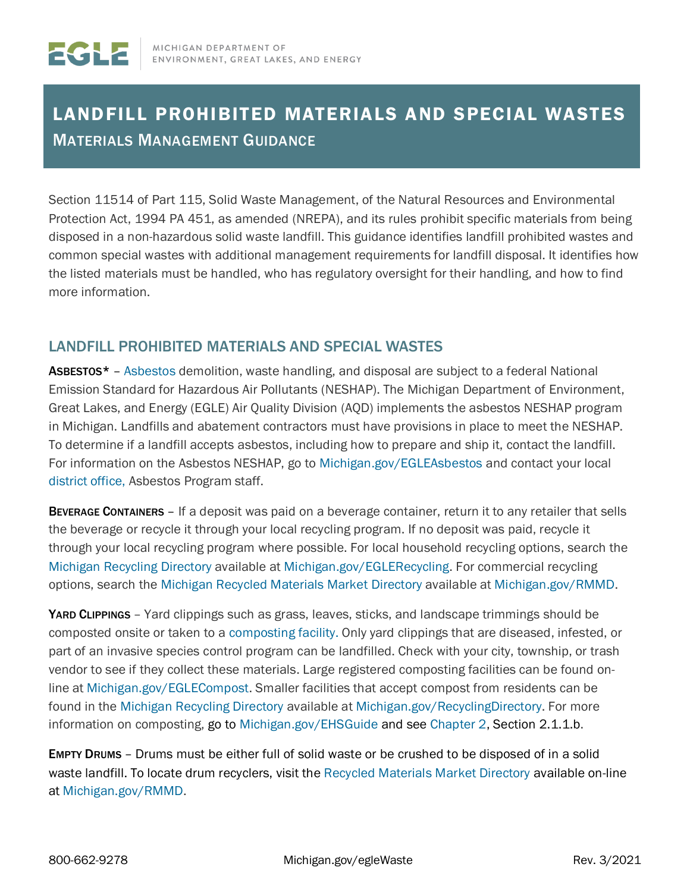## LANDFILL PROHIBITED MATERIALS AND SPECIAL WASTES MATERIALS MANAGEMENT GUIDANCE

Section 11514 of Part 115, Solid Waste Management, of the Natural Resources and Environmental Protection Act, 1994 PA 451, as amended (NREPA), and its rules prohibit specific materials from being disposed in a non-hazardous solid waste landfill. This guidance identifies landfill prohibited wastes and common special wastes with additional management requirements for landfill disposal. It identifies how the listed materials must be handled, who has regulatory oversight for their handling, and how to find more information.

## LANDFILL PROHIBITED MATERIALS AND SPECIAL WASTES

ASBESTOS<sup>\*</sup> - [Asbestos d](http://www.michigan.gov/deq/0%2C4561%2C7-135-3310-11856--%2C00.html)emolition, waste handling, and disposal are subject to a federal National Emission Standard for Hazardous Air Pollutants (NESHAP). The Michigan Department of Environment, Great Lakes, and Energy (EGLE) Air Quality Division (AQD) implements the asbestos NESHAP program in Michigan. Landfills and abatement contractors must have provisions in place to meet the NESHAP. To determine if a landfill accepts asbestos, including how to prepare and ship it, contact the landfill. For information on the Asbestos NESHAP, go to [Michigan.gov/EGLEAsbestos an](https://www.michigan.gov/egle/0,9429,7-135-3310_70314_81014---,00.html)d contact your local [district office, A](http://www.michigan.gov/deq/0%2C4561%2C7-135-3306_3329-12306--%2C00.html)sbestos Program staff.

**BEVERAGE CONTAINERS** – If a deposit was paid on a beverage container, return it to any retailer that sells the beverage or recycle it through your local recycling program. If no deposit was paid, recycle it through your local recycling program where possible. For local household recycling options, search the [Michigan Recycling Directory a](https://www.michigan.gov/RecyclingDirectory)vailable at [Michigan.gov/EGLERecycling.](http://www.michigan.gov/EGLErecycling) For commercial recycling options, search the [Michigan Recycled Materials Market Directory](http://www.michigan.gov/RMMD) available at [Michigan.gov/RMMD.](http://www.michigan.gov/RMMD)

[YARD CLIPPINGS](https://www.michigan.gov/deq/0%2C4561%2C7-135-3312_4123_4629-185537--%2C00.html) [–](https://www.michigan.gov/deq/0%2C4561%2C7-135-3312_4123_4629-185537--%2C00.html) Yard clippings such as grass, leaves, sticks, and landscape trimmings should be composted onsite or taken to a [composting facility.](https://www.michigan.gov/deq/0%2C4561%2C7-135-3312_4123_4629-185537--%2C00.html) Only yard clippings that are diseased, infested, or part of an invasive species control program can be landfilled. Check with your city, township, or trash vendor to see if they collect these materials. Large registered composting facilities can be found online at [Michigan.gov/EGLECompost.](http://www.michigan.gov/EGLECompost) Smaller facilities that accept compost from residents can be found in the [Michigan Recycling Directory](http://www.michigan.gov/RecyclingDirectory) available at [Michigan.gov/RecyclingDirectory.](http://www.michigan.gov/RecyclingDirectory) For more information on composting, go to [Michigan.gov/EHSGuide](http://www.michigan.gov/EHSGuide) and see [Chapter 2,](https://www.michigan.gov/documents/deq/deq-ess-caap-manufguide-chap2_313406_7.pdf) Section 2.1.1.b.

EMPTY DRUMS – Drums must be either full of solid waste or be crushed to be disposed of in a solid waste landfill. To locate drum recyclers, visit the [Recycled Materials Market Directory a](http://www.michigan.gov/deq/0%2C4561%2C7-135-70153_70155_3585_4130-12387--%2C00.html)vailable on-line at [Michigan.gov/RMMD.](http://www.michigan.gov/rmmd)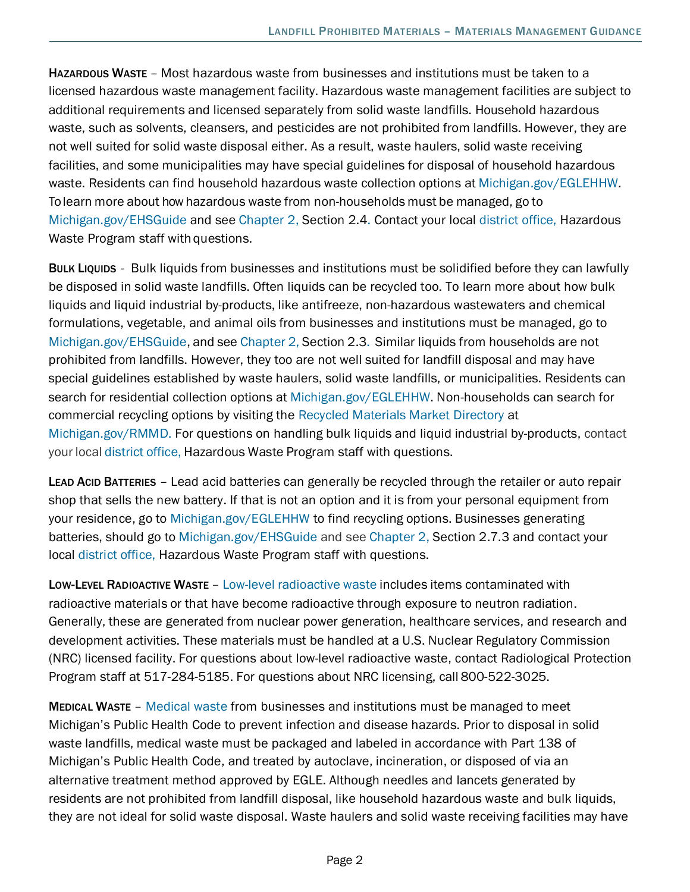[HAZARDOUS WASTE](https://www.michigan.gov/deq/0%2C4561%2C7-135-3312_4118---%2C00.html) – Most hazardous waste from businesses and institutions must be taken to a licensed hazardous waste management facility. Hazardous waste management facilities are subject to additional requirements and licensed separately from solid waste landfills. Household hazardous waste, such as solvents, cleansers, and pesticides are not prohibited from landfills. However, they are not well suited for solid waste disposal either. As a result, waste haulers, solid waste receiving facilities, and some municipalities may have special guidelines for disposal of household hazardous waste. Residents can find household hazardous waste collection options at [Michigan.gov/EGLEHHW.](http://www.michigan.gov/EGLEHHW) To learn more about how hazardous waste from non-households must be managed, go to [Michigan.gov/EHSGuide](http://www.michigan.gov/EHSGuide) and see [Chapter 2, S](https://www.michigan.gov/documents/deq/deq-ess-caap-manufguide-chap2_313406_7.pdf)ection 2.4. Contact your local [district office, H](http://www.michigan.gov/deq/0%2C4561%2C7-135-3306_3329-12306--%2C00.html)azardous Waste Program staff with questions.

BULK LIQUIDS - Bulk liquids from businesses and institutions must be solidified before they can lawfully be disposed in solid waste landfills. Often liquids can be recycled too. To learn more about how bulk liquids and liquid industrial by-products, like antifreeze, non-hazardous wastewaters and chemical formulations, vegetable, and animal oils from businesses and institutions must be managed, go to [Michigan.gov/EHSGuide,](http://www.michigan.gov/EHSGuide) and see [Chapter](https://www.michigan.gov/documents/deq/deq-ess-caap-manufguide-chap2_313406_7.pdf) 2, Section 2.3. Similar liquids from households are not prohibited from landfills. However, they too are not well suited for landfill disposal and may have special guidelines established by waste haulers, solid waste landfills, or municipalities. Residents can search for residential collection options at [Michigan.gov/EGLEHHW.](http://www.michigan.gov/EGLEHHW) Non-households can search for commercial recycling options by visiting the [Recycled Materials Market Directory a](http://www.michigan.gov/deq/0%2C4561%2C7-135-70153_70155_3585_4130-12387--%2C00.html)t [Michigan.gov/RMMD.](http://www.michigan.gov/rmmd) For questions on handling bulk liquids and liquid industrial by-products, contact your local [district](http://www.michigan.gov/deq/0%2C4561%2C7-135-3306_3329-12306--%2C00.html) office, Hazardous Waste Program staff with questions.

LEAD ACID BATTERIES - Lead acid batteries can generally be recycled through the retailer or auto repair shop that sells the new battery. If that is not an option and it is from your personal equipment from your residence, go to [Michigan.gov/EGLEHHW](http://www.michigan.gov/EGLEHHW) to find recycling options. Businesses generating batteries, should go to [Michigan.gov/EHSGuide](http://www.michigan.gov/EHSGuide) and see [Chapter 2, S](https://www.michigan.gov/documents/deq/deq-ess-caap-manufguide-chap2_313406_7.pdf)ection 2.7.3 and contact your local [district office,](http://www.michigan.gov/deq/0%2C4561%2C7-135-3306_3329-12306--%2C00.html) Hazardous Waste Program staff with questions.

[LOW-LEVEL RADIOACTIVE WASTE](https://www.michigan.gov/deq/0%2C4561%2C7-135-3312_24659---%2C00.html) – Low-level [radioactive](https://www.michigan.gov/deq/0%2C4561%2C7-135-3312_24659---%2C00.html) waste includes items contaminated with radioactive materials or that have become radioactive through exposure to neutron radiation. Generally, these are generated from nuclear power generation, healthcare services, and research and development activities. These materials must be handled at a U.S. Nuclear Regulatory Commission (NRC) licensed facility. For questions about low-level radioactive waste, contact Radiological Protection Program staff at 517-284-5185. For questions about NRC licensing, call 800-522-3025.

[MEDICAL WASTE](http://www.michigan.gov/deq/0%2C4561%2C7-135-3312_4119---%2C00.html) – [Medical waste from businesses and institutions](http://www.michigan.gov/deq/0%2C4561%2C7-135-3312_4119---%2C00.html) must be managed to meet Michigan's Public Health Code to prevent infection and disease hazards. Prior to disposal in solid waste landfills, medical waste must be packaged and labeled in accordance with Part 138 of Michigan's Public Health Code, and treated by autoclave, incineration, or disposed of via an alternative treatment method approved by EGLE. Although needles and lancets generated by residents are not prohibited from landfill disposal, like household hazardous waste and bulk liquids, they are not ideal for solid waste disposal. Waste haulers and solid waste receiving facilities may have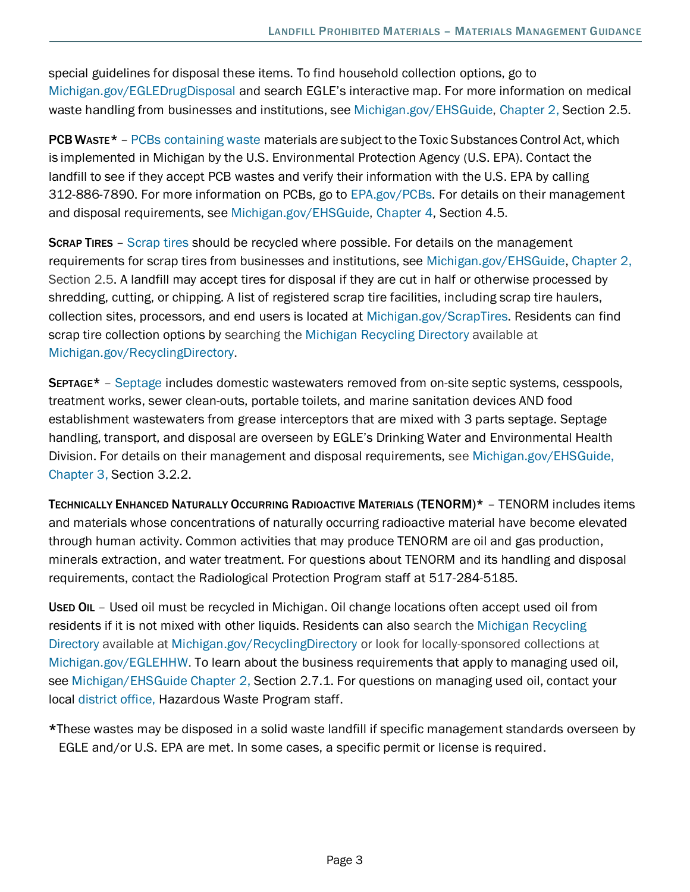special guidelines for disposal these items. To find household collection options, go to [Michigan.gov/EGLEDrugDisposal](http://www.michigan.gov/EGLEDrugDisposal) and search EGLE's interactive map. For more information on medical waste handling from businesses and institutions, see [Michigan.gov/EHSGuide,](http://www.michigan.gov/EHSGuide) [Chapter 2, S](https://www.michigan.gov/documents/deq/deq-ess-caap-manufguide-chap2_313406_7.pdf)ection 2.5.

**PCB Waste\*** – [PCBs containing waste m](https://www.epa.gov/pcbs)aterials are subject to the Toxic Substances Control Act, which is implemented in Michigan by the U.S. Environmental Protection Agency (U.S. EPA). Contact the landfill to see if they accept PCB wastes and verify their information with the U.S. EPA by calling 312-886-7890. For more information on PCBs, go to [EPA.gov/PCBs.](http://www.epa.gov/pcbs) For details on their management and disposal requirements, see [Michigan.gov/EHSGuide,](http://www.michigan.gov/EHSGuide) [Chapter 4,](https://www.michigan.gov/documents/deq/deq-ess-caap-manufguide-chap4_313417_7.pdf) Section 4.5.

**[SCRAP TIRES](http://www.michigan.gov/deq/0%2C4561%2C7-135-3312_4122---%2C00.html)** – [Scrap tires s](http://www.michigan.gov/deq/0%2C4561%2C7-135-3312_4122---%2C00.html)hould be recycled where possible. For details on the management requirements for scrap tires from businesses and institutions, see [Michigan.gov/EHSGuide,](http://www.michigan.gov/EHSGuide) [Chapter](https://www.michigan.gov/documents/deq/deq-ess-caap-manufguide-chap2_313406_7.pdf) [2,](https://www.michigan.gov/documents/deq/deq-ess-caap-manufguide-chap2_313406_7.pdf)  Section 2.5. A landfill may accept tires for disposal if they are cut in half or otherwise processed by shredding, cutting, or chipping. A list of registered scrap tire facilities, including scrap tire haulers, collection sites, processors, and end users is located at [Michigan.gov/ScrapTires.](http://www.michigan.gov/scraptires) Residents can find scrap tire collection options by searching the [Michigan Recycling Directory a](https://www.michigan.gov/egle/0%2C9429%2C7-135-70153_69695-405727--%2C00.html)vailable at [Michigan.gov/RecyclingDirectory.](http://www.michigan.gov/RecyclingDirectory)

[SEPTAGE\\*](http://www.michigan.gov/deq/0%2C4561%2C7-135-3313_3682_3717---%2C00.html) – [Septage](https://gcc01.safelinks.protection.outlook.com/?url=http%3A%2F%2Fwww.michigan.gov%2Fdeq%2F0%2C4561%2C7-135-3313_3682_3717---%2C00.html&data=02%7C01%7CGROSSMANC%40michigan.gov%7Cbdd94597a0a74567fd3408d715252f2a%7Cd5fb7087377742ad966a892ef47225d1%7C0%7C0%7C637001121764639737&sdata=9g1t%2FDW7xBJQ41WO3EYeOXsPSPXVkk9gMqwEDuvAxeU%3D&reserved=0) includes domestic wastewaters removed from on-site septic systems, cesspools, treatment works, sewer clean-outs, portable toilets, and marine sanitation devices AND food establishment wastewaters from grease interceptors that are mixed with 3 parts septage. Septage handling, transport, and disposal are overseen by EGLE's Drinking Water and Environmental Health Division. For details on their management and disposal requirements, see [Michigan.gov/EHSGuide,](https://gcc01.safelinks.protection.outlook.com/?url=http%3A%2F%2Fwww.Michigan.gov%2FEHSGuide&data=02%7C01%7CGROSSMANC%40michigan.gov%7Cbdd94597a0a74567fd3408d715252f2a%7Cd5fb7087377742ad966a892ef47225d1%7C0%7C0%7C637001121764649728&sdata=MViEjXDSps7kJuie8OPwVvF48235jQrVG1jiUxc8CoQ%3D&reserved=0)  [Chapter 3, S](https://gcc01.safelinks.protection.outlook.com/?url=https%3A%2F%2Fwww.michigan.gov%2Fdocuments%2Fdeq%2Fdeq-ess-caap-manufguide-chap3_313414_7.pdf&data=02%7C01%7CGROSSMANC%40michigan.gov%7Cbdd94597a0a74567fd3408d715252f2a%7Cd5fb7087377742ad966a892ef47225d1%7C0%7C0%7C637001121764659726&sdata=ZKsgZs581s6cM3XMK3zQslIG%2FnpI7q%2FEEZmUDjJ7lYA%3D&reserved=0)ection 3.2.2.

TECHNICALLY ENHANCED NATURALLY OCCURRING RADIOACTIVE MATERIALS (TENORM)\* – TENORM includes items and materials whose concentrations of naturally occurring radioactive material have become elevated through human activity. Common activities that may produce TENORM are oil and gas production, minerals extraction, and water treatment. For questions about TENORM and its handling and disposal requirements, contact the Radiological Protection Program staff at 517-284-5185.

USED OIL - Used oil must be recycled in Michigan. Oil change locations often accept used oil from residents if it is not mixed with other liquids. Residents can also search the [Michigan Recycling](https://www.michigan.gov/egle/0%2C9429%2C7-135-70153_69695-405727--%2C00.html)  [Directory a](https://www.michigan.gov/egle/0%2C9429%2C7-135-70153_69695-405727--%2C00.html)vailable at [Michigan.gov/RecyclingDirectory](http://www.michigan.gov/RecyclingDirectory) or look for locally-sponsored collections at [Michigan.gov/EGLEHHW.](http://www.michigan.gov/EGLEHHW) To learn about the business requirements that apply to managing used oil, see Michigan/EHSGuide [Chapter 2, S](https://www.michigan.gov/documents/deq/deq-ess-caap-manufguide-chap2_313406_7.pdf)ection 2.7.1. For questions on managing used oil, contact your local [district office, H](http://www.michigan.gov/deq/0%2C4561%2C7-135-3306_3329-12306--%2C00.html)azardous Waste Program staff.

\*These wastes may be disposed in a solid waste landfill if specific management standards overseen by EGLE and/or U.S. EPA are met. In some cases, a specific permit or license is required.